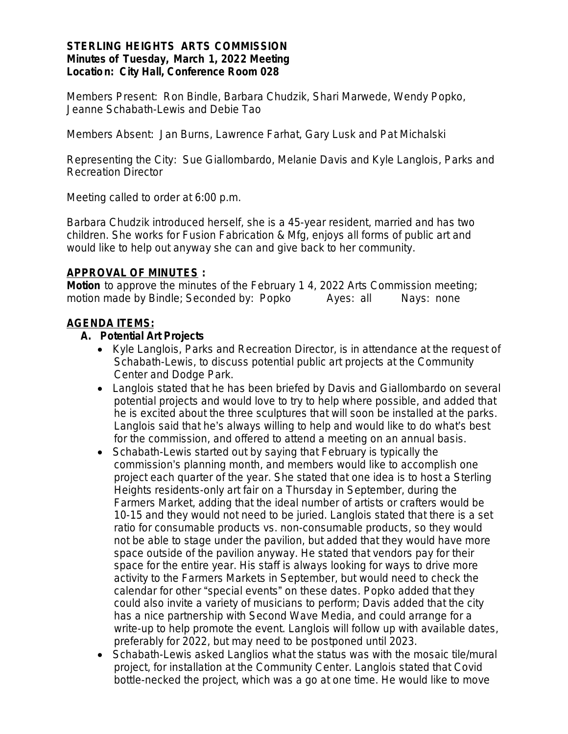#### **STERLING HEIGHTS ARTS COMMISSION Minutes of Tuesday, March 1, 2022 Meeting Location: City Hall, Conference Room 028**

*Members Present:* Ron Bindle, Barbara Chudzik, Shari Marwede, Wendy Popko, Jeanne Schabath-Lewis and Debie Tao

*Members Absent*: Jan Burns, Lawrence Farhat, Gary Lusk and Pat Michalski

*Representing the City*: Sue Giallombardo, Melanie Davis and Kyle Langlois, Parks and Recreation Director

Meeting called to order at 6:00 p.m.

Barbara Chudzik introduced herself, she is a 45-year resident, married and has two children. She works for Fusion Fabrication & Mfg, enjoys all forms of public art and would like to help out anyway she can and give back to her community.

#### **APPROVAL OF MINUTES :**

*Motion* to approve the minutes of the February 1 4, 2022 Arts Commission meeting; motion made by Bindle; Seconded by: Popko Ayes: all Nays: none

## **AGENDA ITEMS:**

#### **A. Potential Art Projects**

- Kyle Langlois, Parks and Recreation Director, is in attendance at the request of Schabath-Lewis, to discuss potential public art projects at the Community Center and Dodge Park.
- Langlois stated that he has been briefed by Davis and Giallombardo on several potential projects and would love to try to help where possible, and added that he is excited about the three sculptures that will soon be installed at the parks. Langlois said that he's always willing to help and would like to do what's best for the commission, and offered to attend a meeting on an annual basis.
- Schabath-Lewis started out by saying that February is typically the commission's planning month, and members would like to accomplish one project each quarter of the year. She stated that one idea is to host a Sterling Heights residents-only art fair on a Thursday in September, during the Farmers Market, adding that the ideal number of artists or crafters would be 10-15 and they would not need to be juried. Langlois stated that there is a set ratio for consumable products vs. non-consumable products, so they would not be able to stage under the pavilion, but added that they would have more space outside of the pavilion anyway. He stated that vendors pay for their space for the entire year. His staff is always looking for ways to drive more activity to the Farmers Markets in September, but would need to check the calendar for other "special events" on these dates. Popko added that they could also invite a variety of musicians to perform; Davis added that the city has a nice partnership with Second Wave Media, and could arrange for a write-up to help promote the event. Langlois will follow up with available dates, preferably for 2022, but may need to be postponed until 2023.
- Schabath-Lewis asked Langlios what the status was with the mosaic tile/mural project, for installation at the Community Center. Langlois stated that Covid bottle-necked the project, which was a go at one time. He would like to move